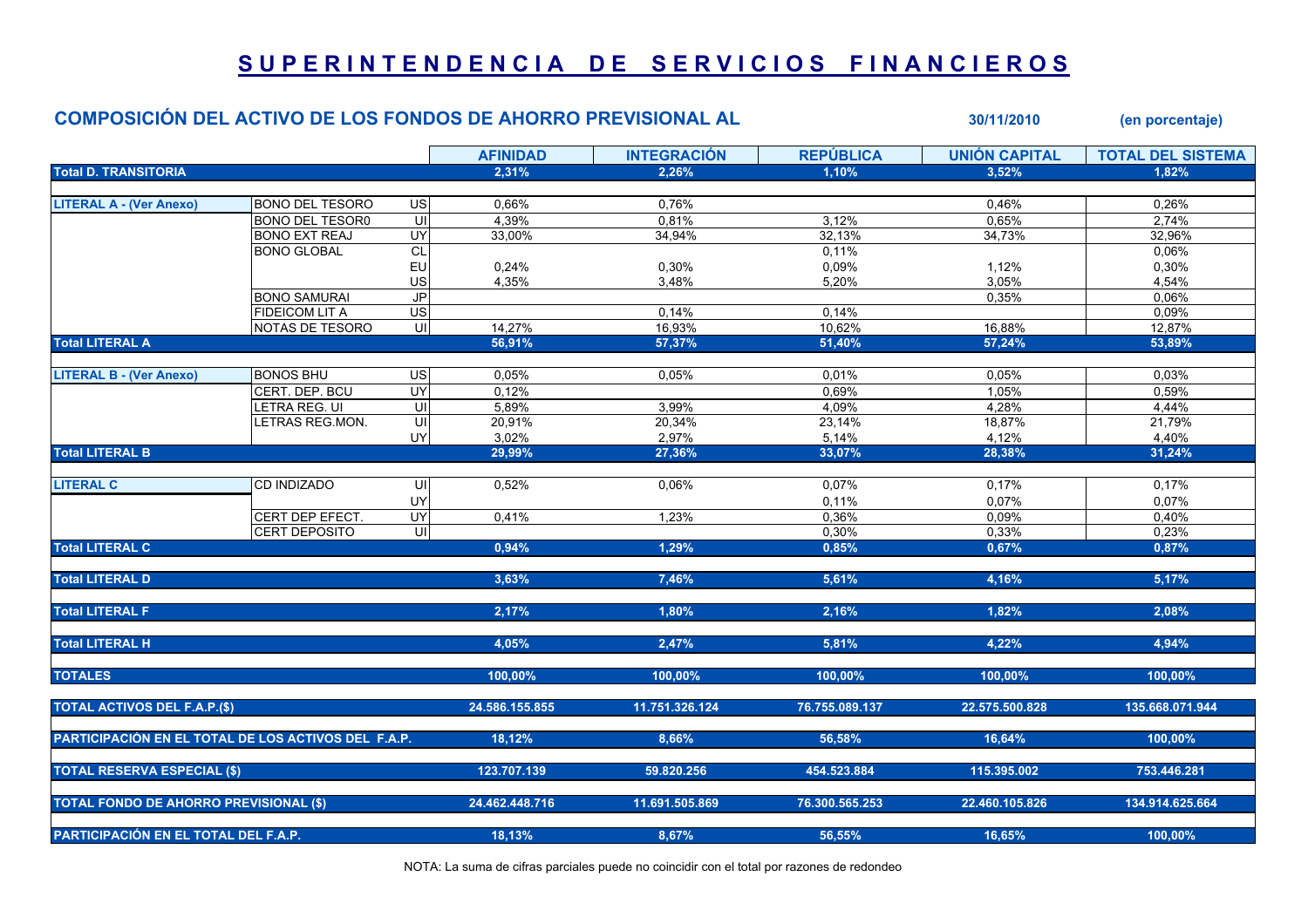## SUPERINTENDENCIA DE SERVICIOS FINANCIEROS

## COMPOSICIÓN DEL ACTIVO DE LOS FONDOS DE AHORRO PREVISIONAL AL 30/11/2010 (en porcentaje)

|                                                     |                        |                 | <b>AFINIDAD</b> | <b>INTEGRACIÓN</b> | <b>REPÚBLICA</b> | <b>UNIÓN CAPITAL</b> | <b>TOTAL DEL SISTEMA</b> |
|-----------------------------------------------------|------------------------|-----------------|-----------------|--------------------|------------------|----------------------|--------------------------|
| <b>Total D. TRANSITORIA</b>                         |                        |                 | 2,31%           | 2,26%              | 1.10%            | 3.52%                | 1.82%                    |
|                                                     |                        |                 |                 |                    |                  |                      |                          |
| <b>LITERAL A - (Ver Anexo)</b>                      | <b>BONO DEL TESORO</b> | $\overline{a}$  | 0,66%           | 0,76%              |                  | 0,46%                | 0,26%                    |
|                                                     | <b>BONO DEL TESORO</b> | S               | 4,39%           | 0,81%              | 3,12%            | 0,65%                | 2,74%                    |
|                                                     | <b>BONO EXT REAJ</b>   | UY              | 33,00%          | 34,94%             | 32,13%           | 34,73%               | 32,96%                   |
|                                                     | <b>BONO GLOBAL</b>     | $\overline{C}$  |                 |                    | 0,11%            |                      | 0,06%                    |
|                                                     |                        | EU              | 0,24%           | 0,30%              | 0,09%            | 1,12%                | 0,30%                    |
|                                                     |                        | US              | 4,35%           | 3,48%              | 5,20%            | 3,05%                | 4,54%                    |
|                                                     | <b>BONO SAMURAI</b>    | <b>JP</b>       |                 |                    |                  | 0,35%                | 0,06%                    |
|                                                     | <b>FIDEICOM LIT A</b>  | $\overline{US}$ |                 | 0,14%              | 0,14%            |                      | 0,09%                    |
|                                                     | NOTAS DE TESORO        | UI              | 14,27%          | 16,93%             | 10,62%           | 16,88%               | 12,87%                   |
| <b>Total LITERAL A</b>                              |                        |                 | 56,91%          | 57,37%             | 51,40%           | 57,24%               | 53,89%                   |
|                                                     |                        |                 |                 |                    |                  |                      |                          |
| <b>LITERAL B - (Ver Anexo)</b>                      | <b>BONOS BHU</b>       | US              | 0,05%           | 0,05%              | 0,01%            | 0,05%                | 0,03%                    |
|                                                     | CERT. DEP. BCU         | UY              | 0,12%           |                    | 0,69%            | 1,05%                | 0,59%                    |
|                                                     | LETRA REG. UI          | UI              | 5,89%           | 3,99%              | 4,09%            | 4,28%                | 4,44%                    |
|                                                     | LETRAS REG.MON.        | S               | 20,91%          | 20,34%             | 23,14%           | 18,87%               | 21,79%                   |
|                                                     |                        | UY              | 3,02%           | 2,97%              | 5,14%            | 4,12%                | 4,40%                    |
| <b>Total LITERAL B</b>                              |                        |                 | 29,99%          | 27,36%             | 33,07%           | 28,38%               | 31,24%                   |
| <b>LITERAL C</b>                                    | CD INDIZADO            | UI              | 0,52%           | $0,06\%$           | 0,07%            | 0,17%                | 0,17%                    |
|                                                     |                        | UY              |                 |                    | 0,11%            | 0,07%                | 0,07%                    |
|                                                     | CERT DEP EFECT.        | UY              | 0,41%           | 1,23%              | 0,36%            | 0,09%                | 0,40%                    |
|                                                     | CERT DEPOSITO          | UI              |                 |                    | 0,30%            | 0,33%                | 0,23%                    |
| <b>Total LITERAL C</b>                              |                        |                 | 0,94%           | 1,29%              | 0,85%            | 0,67%                | 0,87%                    |
|                                                     |                        |                 |                 |                    |                  |                      |                          |
| <b>Total LITERAL D</b>                              |                        |                 | 3,63%           | 7,46%              | 5,61%            | 4,16%                | 5,17%                    |
|                                                     |                        |                 |                 |                    |                  |                      |                          |
| <b>Total LITERAL F</b>                              |                        |                 | 2,17%           | 1,80%              | 2,16%            | 1,82%                | 2,08%                    |
| <b>Total LITERAL H</b>                              |                        |                 | 4,05%           | 2,47%              | 5,81%            | 4,22%                | 4,94%                    |
|                                                     |                        |                 |                 |                    |                  |                      |                          |
| <b>TOTALES</b>                                      |                        |                 | 100,00%         | 100,00%            | 100,00%          | 100,00%              | 100,00%                  |
|                                                     |                        |                 |                 |                    |                  |                      |                          |
| <b>TOTAL ACTIVOS DEL F.A.P.(\$)</b>                 |                        |                 | 24.586.155.855  | 11.751.326.124     | 76.755.089.137   | 22.575.500.828       | 135.668.071.944          |
| PARTICIPACIÓN EN EL TOTAL DE LOS ACTIVOS DEL F.A.P. |                        |                 | 18,12%          | 8,66%              | 56,58%           | 16,64%               | 100,00%                  |
|                                                     |                        |                 |                 |                    |                  |                      |                          |
| <b>TOTAL RESERVA ESPECIAL (\$)</b>                  |                        |                 | 123.707.139     | 59.820.256         | 454.523.884      | 115.395.002          | 753.446.281              |
| <b>TOTAL FONDO DE AHORRO PREVISIONAL (\$)</b>       |                        |                 | 24.462.448.716  | 11.691.505.869     | 76.300.565.253   | 22.460.105.826       | 134.914.625.664          |
|                                                     |                        |                 |                 |                    |                  |                      |                          |
| <b>PARTICIPACIÓN EN EL TOTAL DEL F.A.P.</b>         |                        |                 | 18,13%          | 8,67%              | 56,55%           | 16,65%               | 100,00%                  |

NOTA: La suma de cifras parciales puede no coincidir con el total por razones de redondeo